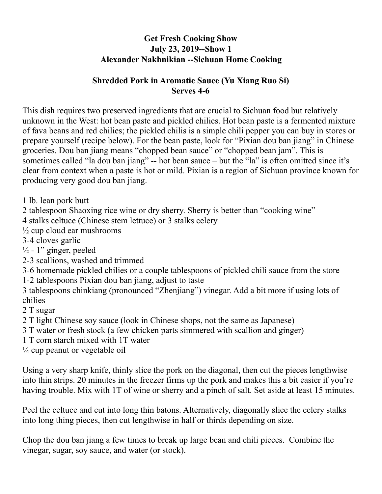## **Get Fresh Cooking Show July 23, 2019--Show 1 Alexander Nakhnikian --Sichuan Home Cooking**

## **Shredded Pork in Aromatic Sauce (Yu Xiang Ruo Si) Serves 4-6**

This dish requires two preserved ingredients that are crucial to Sichuan food but relatively unknown in the West: hot bean paste and pickled chilies. Hot bean paste is a fermented mixture of fava beans and red chilies; the pickled chilis is a simple chili pepper you can buy in stores or prepare yourself (recipe below). For the bean paste, look for "Pixian dou ban jiang" in Chinese groceries. Dou ban jiang means "chopped bean sauce" or "chopped bean jam". This is sometimes called "la dou ban jiang" -- hot bean sauce – but the "la" is often omitted since it's clear from context when a paste is hot or mild. Pixian is a region of Sichuan province known for producing very good dou ban jiang.

1 lb. lean pork butt

2 tablespoon Shaoxing rice wine or dry sherry. Sherry is better than "cooking wine"

4 stalks celtuce (Chinese stem lettuce) or 3 stalks celery

 $\frac{1}{2}$  cup cloud ear mushrooms

3-4 cloves garlic

 $\frac{1}{2}$  - 1" ginger, peeled

2-3 scallions, washed and trimmed

3-6 homemade pickled chilies or a couple tablespoons of pickled chili sauce from the store 1-2 tablespoons Pixian dou ban jiang, adjust to taste

3 tablespoons chinkiang (pronounced "Zhenjiang") vinegar. Add a bit more if using lots of chilies

2 T sugar

- 2 T light Chinese soy sauce (look in Chinese shops, not the same as Japanese)
- 3 T water or fresh stock (a few chicken parts simmered with scallion and ginger)
- 1 T corn starch mixed with 1T water

 $\frac{1}{4}$  cup peanut or vegetable oil

Using a very sharp knife, thinly slice the pork on the diagonal, then cut the pieces lengthwise into thin strips. 20 minutes in the freezer firms up the pork and makes this a bit easier if you're having trouble. Mix with 1T of wine or sherry and a pinch of salt. Set aside at least 15 minutes.

Peel the celtuce and cut into long thin batons. Alternatively, diagonally slice the celery stalks into long thing pieces, then cut lengthwise in half or thirds depending on size.

Chop the dou ban jiang a few times to break up large bean and chili pieces. Combine the vinegar, sugar, soy sauce, and water (or stock).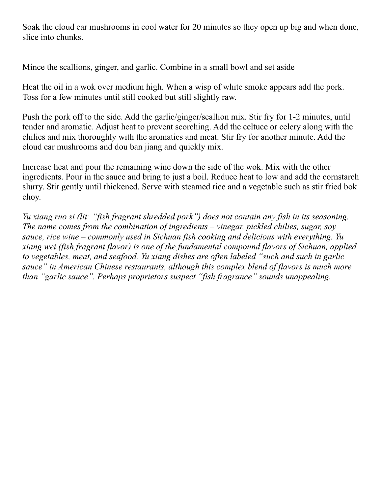Soak the cloud ear mushrooms in cool water for 20 minutes so they open up big and when done, slice into chunks.

Mince the scallions, ginger, and garlic. Combine in a small bowl and set aside

Heat the oil in a wok over medium high. When a wisp of white smoke appears add the pork. Toss for a few minutes until still cooked but still slightly raw.

Push the pork off to the side. Add the garlic/ginger/scallion mix. Stir fry for 1-2 minutes, until tender and aromatic. Adjust heat to prevent scorching. Add the celtuce or celery along with the chilies and mix thoroughly with the aromatics and meat. Stir fry for another minute. Add the cloud ear mushrooms and dou ban jiang and quickly mix.

Increase heat and pour the remaining wine down the side of the wok. Mix with the other ingredients. Pour in the sauce and bring to just a boil. Reduce heat to low and add the cornstarch slurry. Stir gently until thickened. Serve with steamed rice and a vegetable such as stir fried bok choy.

*Yu xiang ruo si (lit: "fish fragrant shredded pork") does not contain any fish in its seasoning. The name comes from the combination of ingredients – vinegar, pickled chilies, sugar, soy sauce, rice wine – commonly used in Sichuan fish cooking and delicious with everything. Yu xiang wei (fish fragrant flavor) is one of the fundamental compound flavors of Sichuan, applied to vegetables, meat, and seafood. Yu xiang dishes are often labeled "such and such in garlic sauce" in American Chinese restaurants, although this complex blend of flavors is much more than "garlic sauce". Perhaps proprietors suspect "fish fragrance" sounds unappealing.*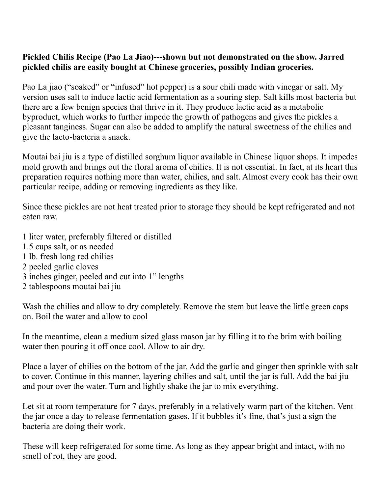## **Pickled Chilis Recipe (Pao La Jiao)---shown but not demonstrated on the show. Jarred pickled chilis are easily bought at Chinese groceries, possibly Indian groceries.**

Pao La jiao ("soaked" or "infused" hot pepper) is a sour chili made with vinegar or salt. My version uses salt to induce lactic acid fermentation as a souring step. Salt kills most bacteria but there are a few benign species that thrive in it. They produce lactic acid as a metabolic byproduct, which works to further impede the growth of pathogens and gives the pickles a pleasant tanginess. Sugar can also be added to amplify the natural sweetness of the chilies and give the lacto-bacteria a snack.

Moutai bai jiu is a type of distilled sorghum liquor available in Chinese liquor shops. It impedes mold growth and brings out the floral aroma of chilies. It is not essential. In fact, at its heart this preparation requires nothing more than water, chilies, and salt. Almost every cook has their own particular recipe, adding or removing ingredients as they like.

Since these pickles are not heat treated prior to storage they should be kept refrigerated and not eaten raw.

1 liter water, preferably filtered or distilled 1.5 cups salt, or as needed 1 lb. fresh long red chilies 2 peeled garlic cloves 3 inches ginger, peeled and cut into 1" lengths 2 tablespoons moutai bai jiu

Wash the chilies and allow to dry completely. Remove the stem but leave the little green caps on. Boil the water and allow to cool

In the meantime, clean a medium sized glass mason jar by filling it to the brim with boiling water then pouring it off once cool. Allow to air dry.

Place a layer of chilies on the bottom of the jar. Add the garlic and ginger then sprinkle with salt to cover. Continue in this manner, layering chilies and salt, until the jar is full. Add the bai jiu and pour over the water. Turn and lightly shake the jar to mix everything.

Let sit at room temperature for 7 days, preferably in a relatively warm part of the kitchen. Vent the jar once a day to release fermentation gases. If it bubbles it's fine, that's just a sign the bacteria are doing their work.

These will keep refrigerated for some time. As long as they appear bright and intact, with no smell of rot, they are good.